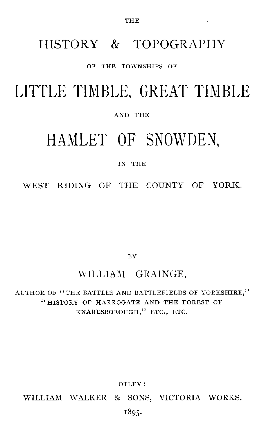### HISTORY & TOPOGRAPHY

### OF THE TOWNSHIPS OF

## LITTLE TIMBLE, GREAT TIMBLE

#### AND THE

# HAMLET OF SNOWDEN,

### IN THE

WEST RIDING OF THE COUNTY OF YORK.

BY

### WILLIAM GRAINGE,

AUTHOR OF " THE BATTLES AND BATTLEFIELDS OF YORKSHIRE," "HISTORY OF HARROGATE AND THE FOREST OF KNARESBOROUGH," ETC., ETC.

OTLEY:

WILLIAM WALKER & SONS, VICTORIA WORKS.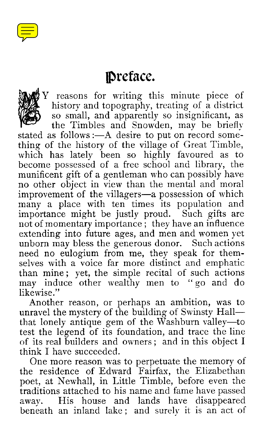

## 'Preface.



Y reasons for writing this minute piece of history and topography, treating of a district so small, and apparently so insignificant, as

the Timbles and Snowden, may be briefly stated as follows :—A desire to put on record something of the history of the village of Great Timble, which has lately been so highly favoured as to become possessed of a free school and library, the munificent gift of a gentleman who can possibly have no other object in view than the mental and moral improvement of the villagers—a possession of which many a place with ten times its population and importance might be justly proud. Such gifts are importance might be justly proud. not of momentary importance ; they have an influence extending into future ages, and men and women yet unborn may bless the generous donor. Such actions need no eulogium from me, they speak for themselves with a voice far more distinct and emphatic than mine ; yet, the simple recital of such actions may induce other wealthy men to "go and do likewise."

Another reason, or perhaps an ambition, was to unravel the mystery of the building of Swinsty Hall that lonely antique gem of the Washburn valley—to test the legend of its foundation, and trace the line of its real builders and owners ; and in this object I think I have succeeded.

One more reason was to perpetuate the memory of the residence of Edward Fairfax, the Elizabethan poet, at Newhall, in Little Timble, before even the traditions attached to his name and fame have passed away. His house and lands have disappeared beneath an inland lake ; and surely it is an act of